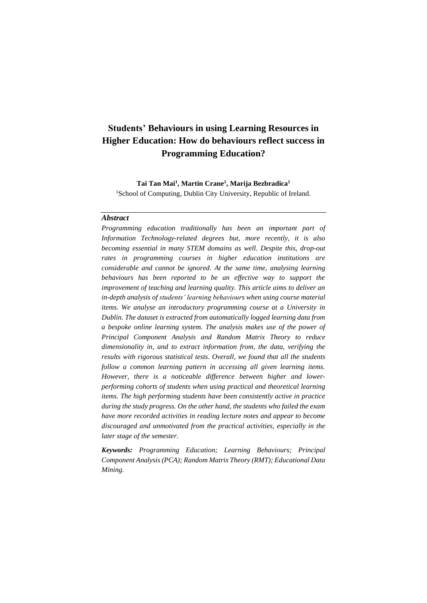# **Students' Behaviours in using Learning Resources in Higher Education: How do behaviours reflect success in Programming Education?**

**Tai Tan Mai<sup>1</sup> , Martin Crane<sup>1</sup> , Marija Bezbradica<sup>1</sup>** <sup>1</sup>School of Computing, Dublin City University, Republic of Ireland.

# *Abstract*

*Programming education traditionally has been an important part of Information Technology-related degrees but, more recently, it is also becoming essential in many STEM domains as well. Despite this, drop-out rates in programming courses in higher education institutions are considerable and cannot be ignored. At the same time, analysing learning behaviours has been reported to be an effective way to support the improvement of teaching and learning quality. This article aims to deliver an in-depth analysis of students' learning behaviours when using course material items. We analyse an introductory programming course at a University in Dublin. The dataset is extracted from automatically logged learning data from a bespoke online learning system. The analysis makes use of the power of Principal Component Analysis and Random Matrix Theory to reduce dimensionality in, and to extract information from, the data, verifying the results with rigorous statistical tests. Overall, we found that all the students follow a common learning pattern in accessing all given learning items. However, there is a noticeable difference between higher and lowerperforming cohorts of students when using practical and theoretical learning items. The high performing students have been consistently active in practice during the study progress. On the other hand, the students who failed the exam have more recorded activities in reading lecture notes and appear to become discouraged and unmotivated from the practical activities, especially in the later stage of the semester.* 

*Keywords: Programming Education; Learning Behaviours; Principal Component Analysis (PCA); Random Matrix Theory (RMT); Educational Data Mining.*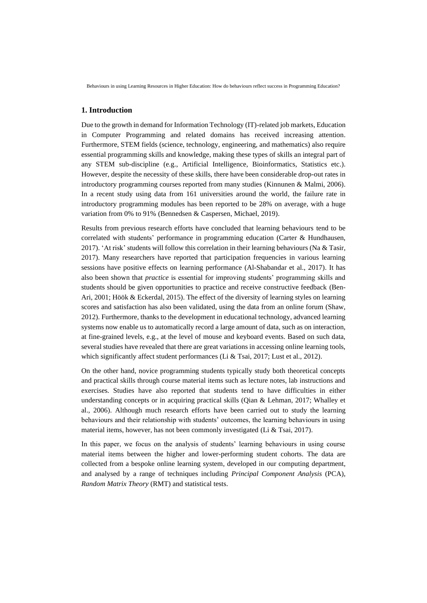Behaviours in using Learning Resources in Higher Education: How do behaviours reflect success in Programming Education?

## **1. Introduction**

Due to the growth in demand for Information Technology (IT)-related job markets, Education in Computer Programming and related domains has received increasing attention. Furthermore, STEM fields (science, technology, engineering, and mathematics) also require essential programming skills and knowledge, making these types of skills an integral part of any STEM sub-discipline (e.g., Artificial Intelligence, Bioinformatics, Statistics etc.). However, despite the necessity of these skills, there have been considerable drop-out rates in introductory programming courses reported from many studies (Kinnunen & Malmi, 2006). In a recent study using data from 161 universities around the world, the failure rate in introductory programming modules has been reported to be 28% on average, with a huge variation from 0% to 91% (Bennedsen & Caspersen, Michael, 2019).

Results from previous research efforts have concluded that learning behaviours tend to be correlated with students' performance in programming education (Carter & Hundhausen, 2017). 'At risk' students will follow this correlation in their learning behaviours (Na & Tasir, 2017). Many researchers have reported that participation frequencies in various learning sessions have positive effects on learning performance (Al-Shabandar et al., 2017). It has also been shown that *practice* is essential for improving students' programming skills and students should be given opportunities to practice and receive constructive feedback (Ben-Ari, 2001; Höök & Eckerdal, 2015). The effect of the diversity of learning styles on learning scores and satisfaction has also been validated, using the data from an online forum (Shaw, 2012). Furthermore, thanks to the development in educational technology, advanced learning systems now enable us to automatically record a large amount of data, such as on interaction, at fine-grained levels, e.g., at the level of mouse and keyboard events. Based on such data, several studies have revealed that there are great variations in accessing online learning tools, which significantly affect student performances (Li & Tsai, 2017; Lust et al., 2012).

On the other hand, novice programming students typically study both theoretical concepts and practical skills through course material items such as lecture notes, lab instructions and exercises. Studies have also reported that students tend to have difficulties in either understanding concepts or in acquiring practical skills (Qian & Lehman, 2017; Whalley et al., 2006). Although much research efforts have been carried out to study the learning behaviours and their relationship with students' outcomes, the learning behaviours in using material items, however, has not been commonly investigated (Li & Tsai, 2017).

In this paper, we focus on the analysis of students' learning behaviours in using course material items between the higher and lower-performing student cohorts. The data are collected from a bespoke online learning system, developed in our computing department, and analysed by a range of techniques including *Principal Component Analysis* (PCA), *Random Matrix Theory* (RMT) and statistical tests.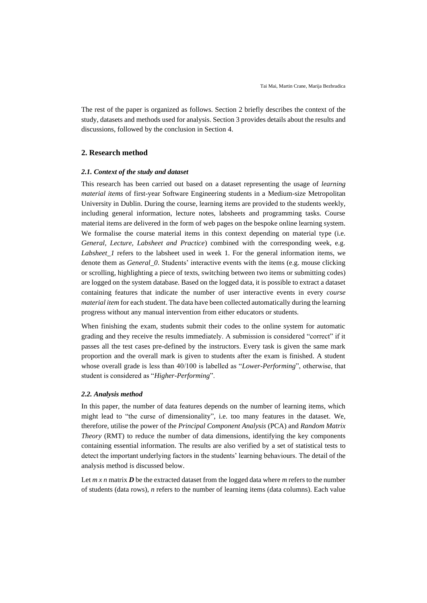The rest of the paper is organized as follows. Section 2 briefly describes the context of the study, datasets and methods used for analysis. Section 3 provides details about the results and discussions, followed by the conclusion in Section 4.

# **2. Research method**

### *2.1. Context of the study and dataset*

This research has been carried out based on a dataset representing the usage of *learning material items* of first-year Software Engineering students in a Medium-size Metropolitan University in Dublin. During the course, learning items are provided to the students weekly, including general information, lecture notes, labsheets and programming tasks. Course material items are delivered in the form of web pages on the bespoke online learning system. We formalise the course material items in this context depending on material type (i.e. *General, Lecture, Labsheet and Practice*) combined with the corresponding week, e.g. *Labsheet\_1* refers to the labsheet used in week 1. For the general information items, we denote them as *General* 0. Students' interactive events with the items (e.g. mouse clicking or scrolling, highlighting a piece of texts, switching between two items or submitting codes) are logged on the system database. Based on the logged data, it is possible to extract a dataset containing features that indicate the number of user interactive events in every *course material item* for each student. The data have been collected automatically during the learning progress without any manual intervention from either educators or students.

When finishing the exam, students submit their codes to the online system for automatic grading and they receive the results immediately. A submission is considered "correct" if it passes all the test cases pre-defined by the instructors. Every task is given the same mark proportion and the overall mark is given to students after the exam is finished. A student whose overall grade is less than 40/100 is labelled as "*Lower-Performing*", otherwise, that student is considered as "*Higher-Performing*".

## *2.2. Analysis method*

In this paper, the number of data features depends on the number of learning items, which might lead to "the curse of dimensionality", i.e. too many features in the dataset. We, therefore, utilise the power of the *Principal Component Analysis* (PCA) and *Random Matrix Theory* (RMT) to reduce the number of data dimensions, identifying the key components containing essential information. The results are also verified by a set of statistical tests to detect the important underlying factors in the students' learning behaviours. The detail of the analysis method is discussed below.

Let  $m \times n$  matrix  $D$  be the extracted dataset from the logged data where  $m$  refers to the number of students (data rows), *n* refers to the number of learning items (data columns). Each value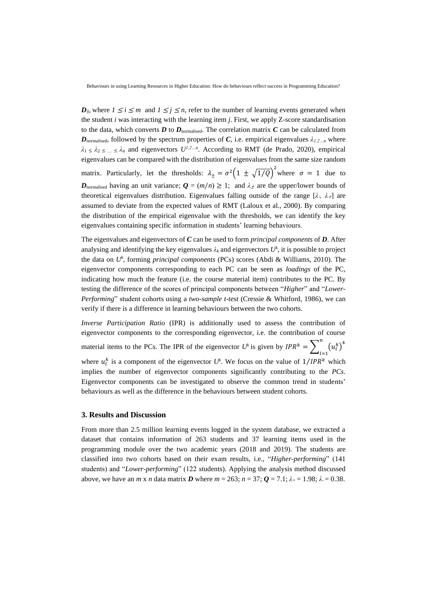Behaviours in using Learning Resources in Higher Education: How do behaviours reflect success in Programming Education?

*D*<sub>i</sub>*j*, where  $1 \le i \le m$  and  $1 \le j \le n$ , refer to the number of learning events generated when the student *i* was interacting with the learning item *j*. First, we apply Z-score standardisation to the data, which converts  $D$  to  $D_{\text{normalised}}$ . The correlation matrix  $C$  can be calculated from  $D$ <sub>normalised,</sub> followed by the spectrum properties of *C*, i.e. empirical eigenvalues  $\lambda_{l,2...n}$  where  $\lambda_1 \leq \lambda_2 \leq ... \leq \lambda_n$  and eigenvectors  $U^{l,2...n}$ . According to RMT (de Prado, 2020), empirical eigenvalues can be compared with the distribution of eigenvalues from the same size random matrix. Particularly, let the thresholds:  $\lambda_{\pm} = \sigma^2 \Big( 1 \pm \sqrt{1/Q} \Big)^2$  where  $\sigma = 1$  due to *D*<sub>normalised</sub> having an unit variance;  $Q = (m/n) \ge 1$ ; and  $\lambda_{\pm}$  are the upper/lower bounds of theoretical eigenvalues distribution. Eigenvalues falling outside of the range  $[\lambda, \lambda]$  are assumed to deviate from the expected values of RMT (Laloux et al., 2000). By comparing the distribution of the empirical eigenvalue with the thresholds, we can identify the key eigenvalues containing specific information in students' learning behaviours.

The eigenvalues and eigenvectors of *C* can be used to form *principal components* of *D*. After analysing and identifying the key eigenvalues  $\lambda_k$  and eigenvectors  $U^k$ , it is possible to project the data on *U<sup>k</sup>* , forming *principal components* (PCs) scores (Abdi & Williams, 2010). The eigenvector components corresponding to each PC can be seen as *loadings* of the PC, indicating how much the feature (i.e. the course material item) contributes to the PC. By testing the difference of the scores of principal components between "*Higher*" and "*Lower-Performing*" student cohorts using a *two-sample t-test* (Cressie & Whitford, 1986), we can verify if there is a difference in learning behaviours between the two cohorts.

*Inverse Participation Ratio* (IPR) is additionally used to assess the contribution of eigenvector components to the corresponding eigenvector, i.e. the contribution of course material items to the PCs. The IPR of the eigenvector  $U^k$  is given by  $IPR^k = \sum_{i=1}^{n} (u_i^k)^4$  $l=1$ where  $u_l^k$  is a component of the eigenvector  $U^k$ . We focus on the value of  $1/IPR^k$  which implies the number of eigenvector components significantly contributing to the *PCs*. Eigenvector components can be investigated to observe the common trend in students' behaviours as well as the difference in the behaviours between student cohorts.

# **3. Results and Discussion**

From more than 2.5 million learning events logged in the system database, we extracted a dataset that contains information of 263 students and 37 learning items used in the programming module over the two academic years (2018 and 2019). The students are classified into two cohorts based on their exam results, i.e., "*Higher-performing*" (141 students) and "*Lower-performing*" (122 students). Applying the analysis method discussed above, we have an *m* x *n* data matrix *D* where  $m = 263$ ;  $n = 37$ ;  $Q = 7.1$ ;  $\lambda_{+} = 1.98$ ;  $\lambda = 0.38$ .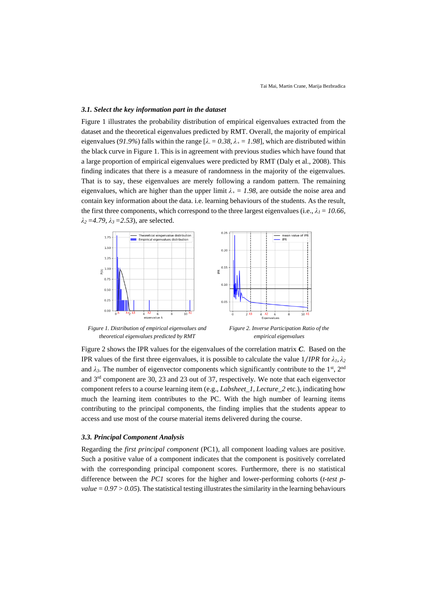## *3.1. Select the key information part in the dataset*

Figure 1 illustrates the probability distribution of empirical eigenvalues extracted from the dataset and the theoretical eigenvalues predicted by RMT. Overall, the majority of empirical eigenvalues (91.9%) falls within the range  $[\lambda = 0.38, \lambda_{+} = 1.98]$ , which are distributed within the black curve in Figure 1. This is in agreement with previous studies which have found that a large proportion of empirical eigenvalues were predicted by RMT (Daly et al., 2008). This finding indicates that there is a measure of randomness in the majority of the eigenvalues. That is to say, these eigenvalues are merely following a random pattern. The remaining eigenvalues, which are higher than the upper limit  $\lambda_+ = 1.98$ , are outside the noise area and contain key information about the data. i.e. learning behaviours of the students. As the result, the first three components, which correspond to the three largest eigenvalues (i.e.,  $\lambda_l = 10.66$ ,  $λ_2 = 4.79, λ_3 = 2.53$ , are selected.



*Figure 1. Distribution of empirical eigenvalues and theoretical eigenvalues predicted by RMT*

*Figure 2. Inverse Participation Ratio of the empirical eigenvalues*

Figure 2 shows the IPR values for the eigenvalues of the correlation matrix *C*. Based on the IPR values of the first three eigenvalues, it is possible to calculate the value  $1/IPR$  for  $\lambda_1, \lambda_2$ and  $\lambda_3$ . The number of eigenvector components which significantly contribute to the 1<sup>st</sup>, 2<sup>nd</sup> and 3rd component are 30, 23 and 23 out of 37, respectively. We note that each eigenvector component refers to a course learning item (e.g., *Labsheet\_1, Lecture\_2* etc.), indicating how much the learning item contributes to the PC. With the high number of learning items contributing to the principal components, the finding implies that the students appear to access and use most of the course material items delivered during the course.

#### *3.3. Principal Component Analysis*

Regarding the *first principal component* (PC1), all component loading values are positive. Such a positive value of a component indicates that the component is positively correlated with the corresponding principal component scores. Furthermore, there is no statistical difference between the *PC1* scores for the higher and lower-performing cohorts (*t-test p* $value = 0.97 > 0.05$ ). The statistical testing illustrates the similarity in the learning behaviours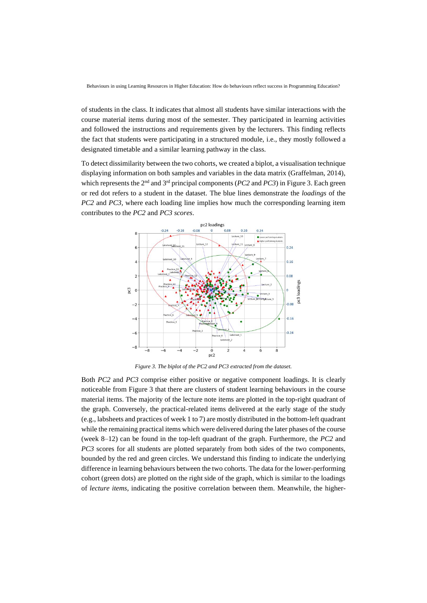of students in the class. It indicates that almost all students have similar interactions with the course material items during most of the semester. They participated in learning activities and followed the instructions and requirements given by the lecturers. This finding reflects the fact that students were participating in a structured module, i.e., they mostly followed a designated timetable and a similar learning pathway in the class.

To detect dissimilarity between the two cohorts, we created a biplot, a visualisation technique displaying information on both samples and variables in the data matrix (Graffelman, 2014), which represents the 2<sup>nd</sup> and 3<sup>rd</sup> principal components (*PC2* and *PC3*) in Figure 3. Each green or red dot refers to a student in the dataset. The blue lines demonstrate the *loadings* of the *PC2* and *PC3*, where each loading line implies how much the corresponding learning item contributes to the *PC2* and *PC3 scores*.



*Figure 3. The biplot of the PC2 and PC3 extracted from the dataset.*

Both *PC2* and *PC3* comprise either positive or negative component loadings. It is clearly noticeable from Figure 3 that there are clusters of student learning behaviours in the course material items. The majority of the lecture note items are plotted in the top-right quadrant of the graph. Conversely, the practical-related items delivered at the early stage of the study (e.g., labsheets and practices of week 1 to 7) are mostly distributed in the bottom-left quadrant while the remaining practical items which were delivered during the later phases of the course (week 8–12) can be found in the top-left quadrant of the graph. Furthermore, the *PC2* and *PC3* scores for all students are plotted separately from both sides of the two components, bounded by the red and green circles. We understand this finding to indicate the underlying difference in learning behaviours between the two cohorts. The data for the lower-performing cohort (green dots) are plotted on the right side of the graph, which is similar to the loadings of *lecture items*, indicating the positive correlation between them. Meanwhile, the higher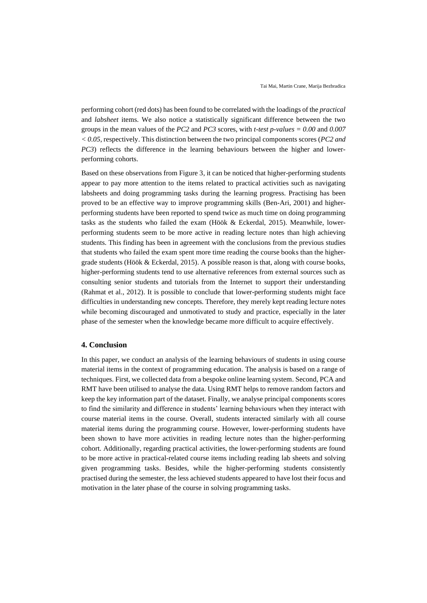performing cohort (red dots) has been found to be correlated with the loadings of the *practical* and *labsheet* items. We also notice a statistically significant difference between the two groups in the mean values of the *PC2* and *PC3* scores, with *t-test p-values = 0.00* and *0.007 < 0.05*, respectively. This distinction between the two principal components scores (*PC2 and PC3*) reflects the difference in the learning behaviours between the higher and lowerperforming cohorts.

Based on these observations from Figure 3, it can be noticed that higher-performing students appear to pay more attention to the items related to practical activities such as navigating labsheets and doing programming tasks during the learning progress. Practising has been proved to be an effective way to improve programming skills (Ben-Ari, 2001) and higherperforming students have been reported to spend twice as much time on doing programming tasks as the students who failed the exam (Höök & Eckerdal, 2015). Meanwhile, lowerperforming students seem to be more active in reading lecture notes than high achieving students. This finding has been in agreement with the conclusions from the previous studies that students who failed the exam spent more time reading the course books than the highergrade students (Höök & Eckerdal, 2015). A possible reason is that, along with course books, higher-performing students tend to use alternative references from external sources such as consulting senior students and tutorials from the Internet to support their understanding (Rahmat et al., 2012). It is possible to conclude that lower-performing students might face difficulties in understanding new concepts. Therefore, they merely kept reading lecture notes while becoming discouraged and unmotivated to study and practice, especially in the later phase of the semester when the knowledge became more difficult to acquire effectively.

# **4. Conclusion**

In this paper, we conduct an analysis of the learning behaviours of students in using course material items in the context of programming education. The analysis is based on a range of techniques. First, we collected data from a bespoke online learning system. Second, PCA and RMT have been utilised to analyse the data. Using RMT helps to remove random factors and keep the key information part of the dataset. Finally, we analyse principal components scores to find the similarity and difference in students' learning behaviours when they interact with course material items in the course. Overall, students interacted similarly with all course material items during the programming course. However, lower-performing students have been shown to have more activities in reading lecture notes than the higher-performing cohort. Additionally, regarding practical activities, the lower-performing students are found to be more active in practical-related course items including reading lab sheets and solving given programming tasks. Besides, while the higher-performing students consistently practised during the semester, the less achieved students appeared to have lost their focus and motivation in the later phase of the course in solving programming tasks.